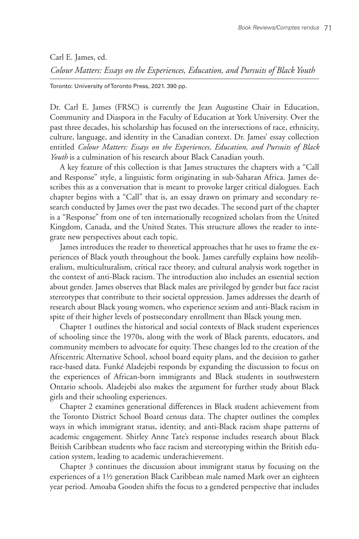## Carl E. James, ed.

*Colour Matters: Essays on the Experiences, Education, and Pursuits of Black Youth*

Toronto: University of Toronto Press, 2021. 390 pp.

Dr. Carl E. James (FRSC) is currently the Jean Augustine Chair in Education, Community and Diaspora in the Faculty of Education at York University. Over the past three decades, his scholarship has focused on the intersections of race, ethnicity, culture, language, and identity in the Canadian context. Dr. James' essay collection entitled *Colour Matters: Essays on the Experiences, Education, and Pursuits of Black Youth* is a culmination of his research about Black Canadian youth.

A key feature of this collection is that James structures the chapters with a "Call and Response" style, a linguistic form originating in sub-Saharan Africa. James describes this as a conversation that is meant to provoke larger critical dialogues. Each chapter begins with a "Call" that is, an essay drawn on primary and secondary research conducted by James over the past two decades. The second part of the chapter is a "Response" from one of ten internationally recognized scholars from the United Kingdom, Canada, and the United States. This structure allows the reader to integrate new perspectives about each topic.

James introduces the reader to theoretical approaches that he uses to frame the experiences of Black youth throughout the book. James carefully explains how neoliberalism, multiculturalism, critical race theory, and cultural analysis work together in the context of anti-Black racism. The introduction also includes an essential section about gender. James observes that Black males are privileged by gender but face racist stereotypes that contribute to their societal oppression. James addresses the dearth of research about Black young women, who experience sexism and anti-Black racism in spite of their higher levels of postsecondary enrollment than Black young men.

Chapter 1 outlines the historical and social contexts of Black student experiences of schooling since the 1970s, along with the work of Black parents, educators, and community members to advocate for equity. These changes led to the creation of the Africentric Alternative School, school board equity plans, and the decision to gather race-based data. Funké Aladejebi responds by expanding the discussion to focus on the experiences of African-born immigrants and Black students in southwestern Ontario schools. Aladejebi also makes the argument for further study about Black girls and their schooling experiences.

Chapter 2 examines generational differences in Black student achievement from the Toronto District School Board census data. The chapter outlines the complex ways in which immigrant status, identity, and anti-Black racism shape patterns of academic engagement. Shirley Anne Tate's response includes research about Black British Caribbean students who face racism and stereotyping within the British education system, leading to academic underachievement.

Chapter 3 continues the discussion about immigrant status by focusing on the experiences of a 1½ generation Black Caribbean male named Mark over an eighteen year period. Amoaba Gooden shifts the focus to a gendered perspective that includes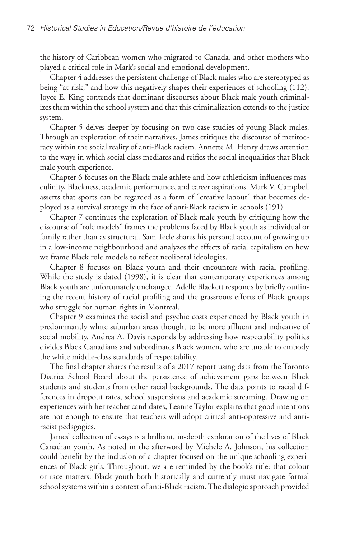the history of Caribbean women who migrated to Canada, and other mothers who played a critical role in Mark's social and emotional development.

Chapter 4 addresses the persistent challenge of Black males who are stereotyped as being "at-risk," and how this negatively shapes their experiences of schooling (112). Joyce E. King contends that dominant discourses about Black male youth criminalizes them within the school system and that this criminalization extends to the justice system.

Chapter 5 delves deeper by focusing on two case studies of young Black males. Through an exploration of their narratives, James critiques the discourse of meritocracy within the social reality of anti-Black racism. Annette M. Henry draws attention to the ways in which social class mediates and reifies the social inequalities that Black male youth experience.

Chapter 6 focuses on the Black male athlete and how athleticism influences masculinity, Blackness, academic performance, and career aspirations. Mark V. Campbell asserts that sports can be regarded as a form of "creative labour" that becomes deployed as a survival strategy in the face of anti-Black racism in schools (191).

Chapter 7 continues the exploration of Black male youth by critiquing how the discourse of "role models" frames the problems faced by Black youth as individual or family rather than as structural. Sam Tecle shares his personal account of growing up in a low-income neighbourhood and analyzes the effects of racial capitalism on how we frame Black role models to reflect neoliberal ideologies.

Chapter 8 focuses on Black youth and their encounters with racial profiling. While the study is dated (1998), it is clear that contemporary experiences among Black youth are unfortunately unchanged. Adelle Blackett responds by briefly outlining the recent history of racial profiling and the grassroots efforts of Black groups who struggle for human rights in Montreal.

Chapter 9 examines the social and psychic costs experienced by Black youth in predominantly white suburban areas thought to be more affluent and indicative of social mobility. Andrea A. Davis responds by addressing how respectability politics divides Black Canadians and subordinates Black women, who are unable to embody the white middle-class standards of respectability.

The final chapter shares the results of a 2017 report using data from the Toronto District School Board about the persistence of achievement gaps between Black students and students from other racial backgrounds. The data points to racial differences in dropout rates, school suspensions and academic streaming. Drawing on experiences with her teacher candidates, Leanne Taylor explains that good intentions are not enough to ensure that teachers will adopt critical anti-oppressive and antiracist pedagogies.

James' collection of essays is a brilliant, in-depth exploration of the lives of Black Canadian youth. As noted in the afterword by Michele A. Johnson, his collection could benefit by the inclusion of a chapter focused on the unique schooling experiences of Black girls. Throughout, we are reminded by the book's title: that colour or race matters. Black youth both historically and currently must navigate formal school systems within a context of anti-Black racism. The dialogic approach provided